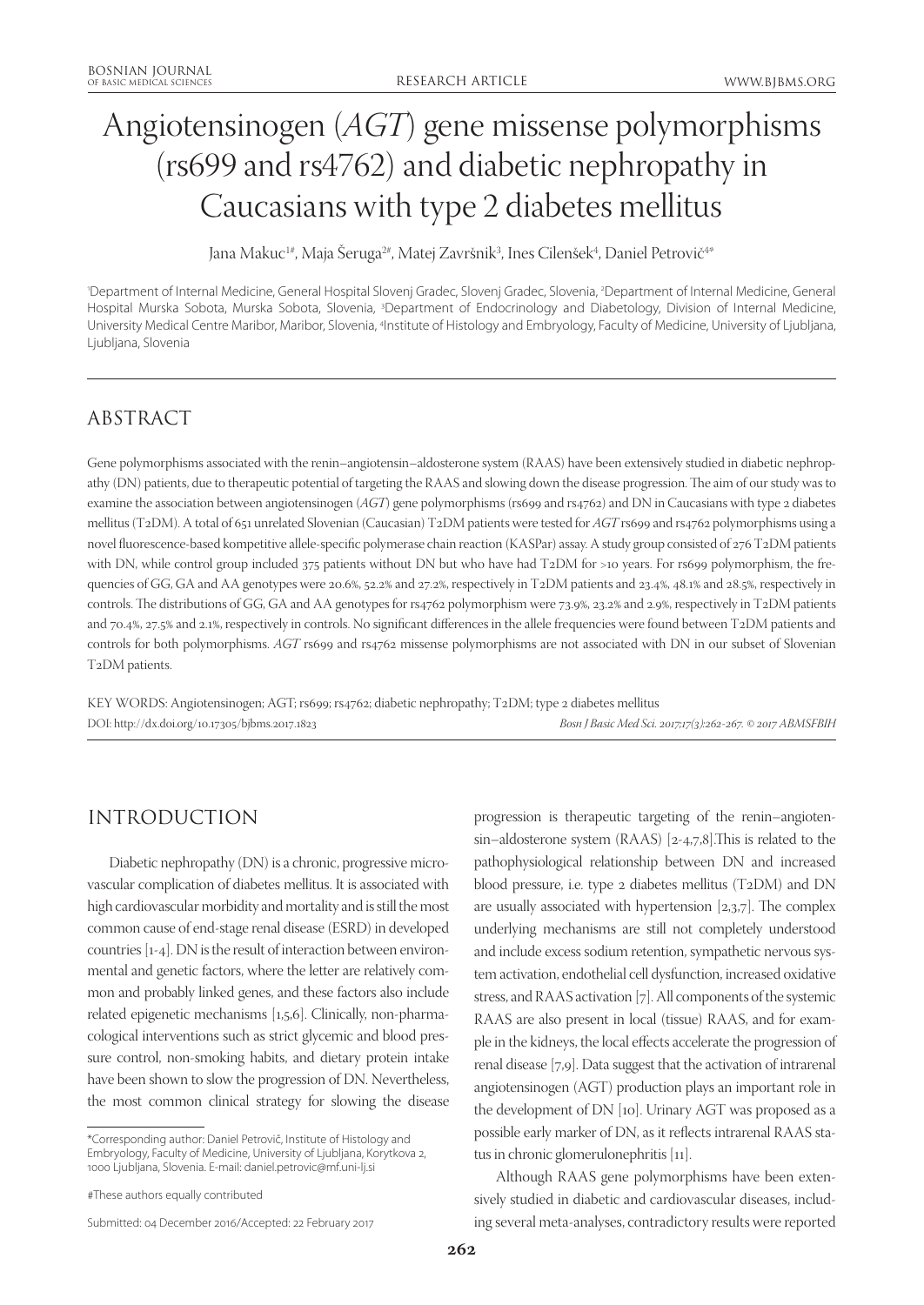# Angiotensinogen (*AGT*) gene missense polymorphisms (rs699 and rs4762) and diabetic nephropathy in Caucasians with type 2 diabetes mellitus

Jana Makuc<sup>1#</sup>, Maja Seruga<sup>2#</sup>, Matej Završnik<sup>3</sup>, Ines Cilenšek<sup>4</sup>, Daniel Petrovič<sup>4\*</sup>

'Department of Internal Medicine, General Hospital Slovenj Gradec, Slovenj Gradec, Slovenia, <sup>2</sup>Department of Internal Medicine, General Hospital Murska Sobota, Murska Sobota, Slovenia, <sup>3</sup>Department of Endocrinology and Diabetology, Division of Internal Medicine, University Medical Centre Maribor, Maribor, Slovenia, <sup>4</sup>Institute of Histology and Embryology, Faculty of Medicine, University of Ljubljana, Ljubljana, Slovenia

# ABSTRACT

Gene polymorphisms associated with the renin–angiotensin–aldosterone system (RAAS) have been extensively studied in diabetic nephropathy (DN) patients, due to therapeutic potential of targeting the RAAS and slowing down the disease progression. The aim of our study was to examine the association between angiotensinogen (*AGT*) gene polymorphisms (rs699 and rs4762) and DN in Caucasians with type 2 diabetes mellitus (T2DM). A total of 651 unrelated Slovenian (Caucasian) T2DM patients were tested for *AGT* rs699 and rs4762 polymorphisms using a novel fluorescence-based kompetitive allele-specific polymerase chain reaction (KASPar) assay. A study group consisted of 276 T2DM patients with DN, while control group included 375 patients without DN but who have had T2DM for >10 years. For rs699 polymorphism, the frequencies of GG, GA and AA genotypes were 20.6%, 52.2% and 27.2%, respectively in T2DM patients and 23.4%, 48.1% and 28.5%, respectively in controls. The distributions of GG, GA and AA genotypes for rs4762 polymorphism were 73.9%, 23.2% and 2.9%, respectively in T2DM patients and 70.4%, 27.5% and 2.1%, respectively in controls. No significant differences in the allele frequencies were found between T2DM patients and controls for both polymorphisms. *AGT* rs699 and rs4762 missense polymorphisms are not associated with DN in our subset of Slovenian T2DM patients.

KEY WORDS: Angiotensinogen; AGT; rs699; rs4762; diabetic nephropathy; T2DM; type 2 diabetes mellitus DOI: http://dx.doi.org/10.17305/bjbms.2017.1823 *Bosn J Basic Med Sci. 2017;17(3):262-267. © 2017 ABMSFBIH*

# INTRODUCTION

Diabetic nephropathy (DN) is a chronic, progressive microvascular complication of diabetes mellitus. It is associated with high cardiovascular morbidity and mortality and is still the most common cause of end-stage renal disease (ESRD) in developed countries [1-4]. DN is the result of interaction between environmental and genetic factors, where the letter are relatively common and probably linked genes, and these factors also include related epigenetic mechanisms [1,5,6]. Clinically, non-pharmacological interventions such as strict glycemic and blood pressure control, non-smoking habits, and dietary protein intake have been shown to slow the progression of DN. Nevertheless, the most common clinical strategy for slowing the disease

\*Corresponding author: Daniel Petrovič, Institute of Histology and Embryology, Faculty of Medicine, University of Ljubljana, Korytkova 2, 1000 Ljubljana, Slovenia. E-mail: daniel.petrovic@mf.uni-lj.si

Submitted: 04 December 2016/Accepted: 22 February 2017

progression is therapeutic targeting of the renin–angiotensin–aldosterone system (RAAS) [2-4,7,8].This is related to the pathophysiological relationship between DN and increased blood pressure, i.e. type 2 diabetes mellitus (T2DM) and DN are usually associated with hypertension [2,3,7]. The complex underlying mechanisms are still not completely understood and include excess sodium retention, sympathetic nervous system activation, endothelial cell dysfunction, increased oxidative stress, and RAAS activation [7]. All components of the systemic RAAS are also present in local (tissue) RAAS, and for example in the kidneys, the local effects accelerate the progression of renal disease [7,9]. Data suggest that the activation of intrarenal angiotensinogen (AGT) production plays an important role in the development of DN [10]. Urinary AGT was proposed as a possible early marker of DN, as it reflects intrarenal RAAS status in chronic glomerulonephritis [11].

Although RAAS gene polymorphisms have been extensively studied in diabetic and cardiovascular diseases, including several meta-analyses, contradictory results were reported

<sup>#</sup>These authors equally contributed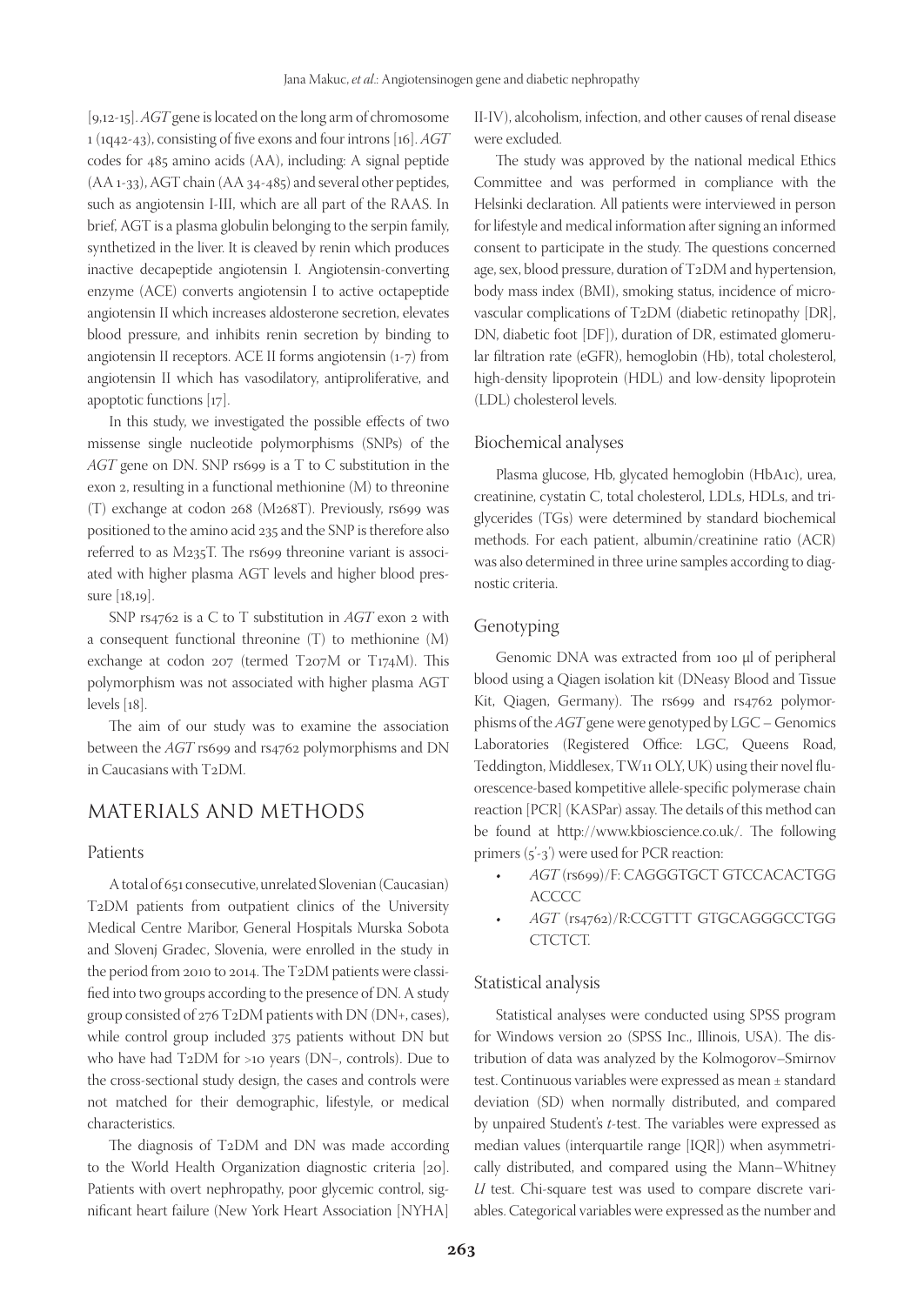[9,12-15]. *AGT* gene is located on the long arm of chromosome 1 (1q42-43), consisting of five exons and four introns [16]. *AGT* codes for 485 amino acids (AA), including: A signal peptide (AA 1-33), AGT chain (AA 34-485) and several other peptides, such as angiotensin I-III, which are all part of the RAAS. In brief, AGT is a plasma globulin belonging to the serpin family, synthetized in the liver. It is cleaved by renin which produces inactive decapeptide angiotensin I. Angiotensin-converting enzyme (ACE) converts angiotensin I to active octapeptide angiotensin II which increases aldosterone secretion, elevates blood pressure, and inhibits renin secretion by binding to angiotensin II receptors. ACE II forms angiotensin (1-7) from angiotensin II which has vasodilatory, antiproliferative, and apoptotic functions [17].

In this study, we investigated the possible effects of two missense single nucleotide polymorphisms (SNPs) of the *AGT* gene on DN. SNP rs699 is a T to C substitution in the exon 2, resulting in a functional methionine (M) to threonine (T) exchange at codon 268 (M268T). Previously, rs699 was positioned to the amino acid 235 and the SNP is therefore also referred to as M235T. The rs699 threonine variant is associated with higher plasma AGT levels and higher blood pressure [18,19].

SNP rs4762 is a C to T substitution in *AGT* exon 2 with a consequent functional threonine (T) to methionine (M) exchange at codon 207 (termed T207M or T174M). This polymorphism was not associated with higher plasma AGT levels [18].

The aim of our study was to examine the association between the *AGT* rs699 and rs4762 polymorphisms and DN in Caucasians with T2DM.

## MATERIALS AND METHODS

#### Patients

A total of 651 consecutive, unrelated Slovenian (Caucasian) T2DM patients from outpatient clinics of the University Medical Centre Maribor, General Hospitals Murska Sobota and Slovenj Gradec, Slovenia, were enrolled in the study in the period from 2010 to 2014. The T2DM patients were classified into two groups according to the presence of DN. A study group consisted of 276 T2DM patients with DN (DN+, cases), while control group included 375 patients without DN but who have had T2DM for >10 years (DN−, controls). Due to the cross-sectional study design, the cases and controls were not matched for their demographic, lifestyle, or medical characteristics.

The diagnosis of T2DM and DN was made according to the World Health Organization diagnostic criteria [20]. Patients with overt nephropathy, poor glycemic control, significant heart failure (New York Heart Association [NYHA]

II-IV), alcoholism, infection, and other causes of renal disease were excluded.

The study was approved by the national medical Ethics Committee and was performed in compliance with the Helsinki declaration. All patients were interviewed in person for lifestyle and medical information after signing an informed consent to participate in the study. The questions concerned age, sex, blood pressure, duration of T2DM and hypertension, body mass index (BMI), smoking status, incidence of microvascular complications of T2DM (diabetic retinopathy [DR], DN, diabetic foot [DF]), duration of DR, estimated glomerular filtration rate (eGFR), hemoglobin (Hb), total cholesterol, high-density lipoprotein (HDL) and low-density lipoprotein (LDL) cholesterol levels.

#### Biochemical analyses

Plasma glucose, Hb, glycated hemoglobin (HbA1c), urea, creatinine, cystatin C, total cholesterol, LDLs, HDLs, and triglycerides (TGs) were determined by standard biochemical methods. For each patient, albumin/creatinine ratio (ACR) was also determined in three urine samples according to diagnostic criteria.

#### Genotyping

Genomic DNA was extracted from 100 µl of peripheral blood using a Qiagen isolation kit (DNeasy Blood and Tissue Kit, Qiagen, Germany). The rs699 and rs4762 polymorphisms of the *AGT* gene were genotyped by LGC – Genomics Laboratories (Registered Office: LGC, Queens Road, Teddington, Middlesex, TW11 OLY, UK) using their novel fluorescence-based kompetitive allele-specific polymerase chain reaction [PCR] (KASPar) assay. The details of this method can be found at http://www.kbioscience.co.uk/. The following primers (5'-3') were used for PCR reaction:

- • *AGT* (rs699)/F: CAGGGTGCT GTCCACACTGG **ACCCC**
- • *AGT* (rs4762)/R:CCGTTT GTGCAGGGCCTGG CTCTCT.

#### Statistical analysis

Statistical analyses were conducted using SPSS program for Windows version 20 (SPSS Inc., Illinois, USA). The distribution of data was analyzed by the Kolmogorov–Smirnov test. Continuous variables were expressed as mean ± standard deviation (SD) when normally distributed, and compared by unpaired Student's *t*-test. The variables were expressed as median values (interquartile range [IQR]) when asymmetrically distributed, and compared using the Mann–Whitney *U* test. Chi-square test was used to compare discrete variables. Categorical variables were expressed as the number and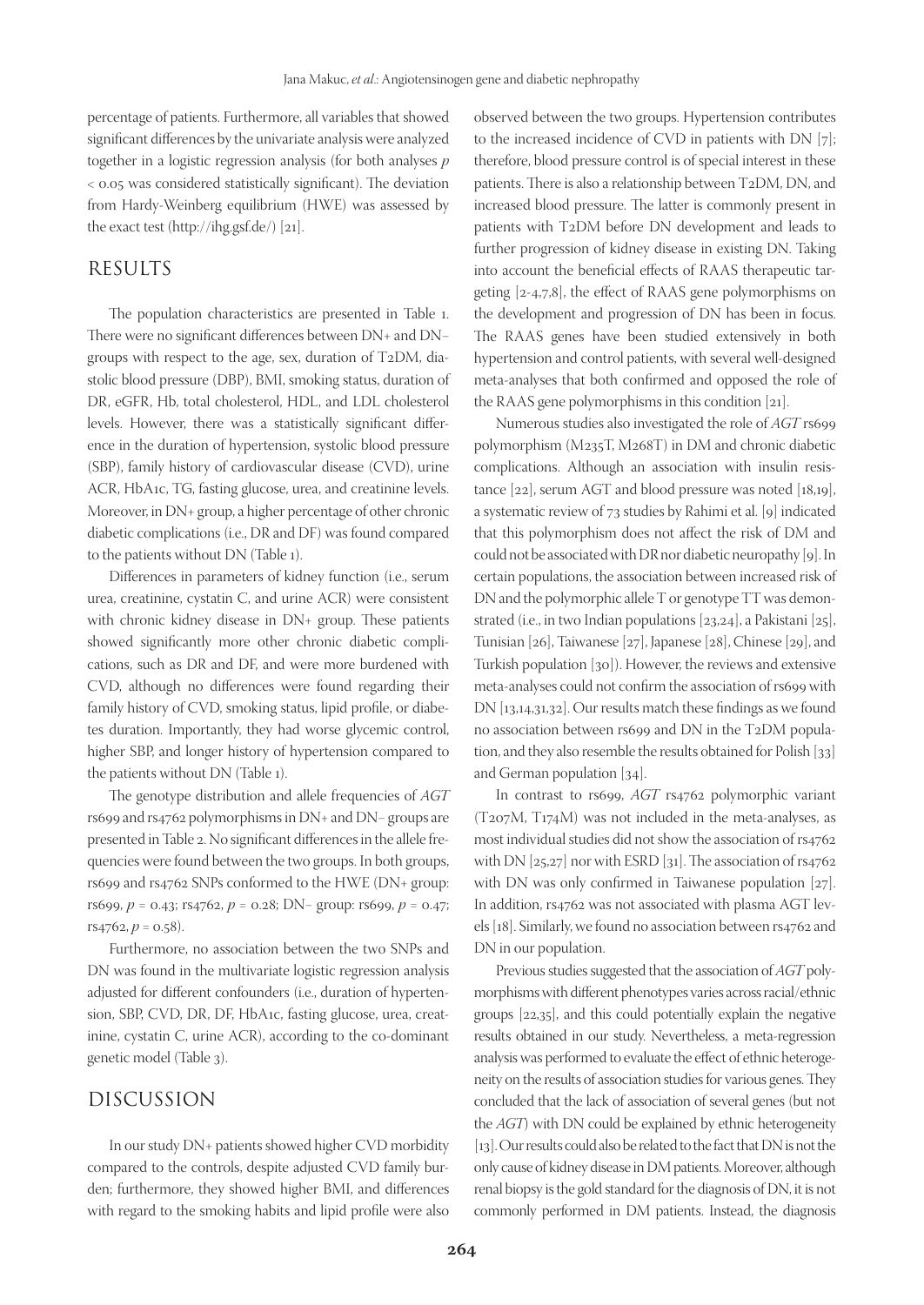percentage of patients. Furthermore, all variables that showed significant differences by the univariate analysis were analyzed together in a logistic regression analysis (for both analyses *p* < 0.05 was considered statistically significant). The deviation from Hardy-Weinberg equilibrium (HWE) was assessed by the exact test (http://ihg.gsf.de/) [21].

## RESULTS

The population characteristics are presented in Table 1. There were no significant differences between DN+ and DN− groups with respect to the age, sex, duration of T2DM, diastolic blood pressure (DBP), BMI, smoking status, duration of DR, eGFR, Hb, total cholesterol, HDL, and LDL cholesterol levels. However, there was a statistically significant difference in the duration of hypertension, systolic blood pressure (SBP), family history of cardiovascular disease (CVD), urine ACR, HbA1c, TG, fasting glucose, urea, and creatinine levels. Moreover, in DN+ group, a higher percentage of other chronic diabetic complications (i.e., DR and DF) was found compared to the patients without DN (Table 1).

Differences in parameters of kidney function (i.e., serum urea, creatinine, cystatin C, and urine ACR) were consistent with chronic kidney disease in DN+ group. These patients showed significantly more other chronic diabetic complications, such as DR and DF, and were more burdened with CVD, although no differences were found regarding their family history of CVD, smoking status, lipid profile, or diabetes duration. Importantly, they had worse glycemic control, higher SBP, and longer history of hypertension compared to the patients without DN (Table 1).

The genotype distribution and allele frequencies of *AGT* rs699 and rs4762 polymorphisms in DN+ and DN− groups are presented in Table 2. No significant differences in the allele frequencies were found between the two groups. In both groups, rs699 and rs4762 SNPs conformed to the HWE (DN+ group: rs699, *p* = 0.43; rs4762, *p* = 0.28; DN− group: rs699, *p* = 0.47;  $rs4762, p = 0.58$ ).

Furthermore, no association between the two SNPs and DN was found in the multivariate logistic regression analysis adjusted for different confounders (i.e., duration of hypertension, SBP, CVD, DR, DF, HbA1c, fasting glucose, urea, creatinine, cystatin C, urine ACR), according to the co-dominant genetic model (Table 3).

## DISCUSSION

In our study DN+ patients showed higher CVD morbidity compared to the controls, despite adjusted CVD family burden; furthermore, they showed higher BMI, and differences with regard to the smoking habits and lipid profile were also observed between the two groups. Hypertension contributes to the increased incidence of CVD in patients with DN [7]; therefore, blood pressure control is of special interest in these patients. There is also a relationship between T2DM, DN, and increased blood pressure. The latter is commonly present in patients with T2DM before DN development and leads to further progression of kidney disease in existing DN. Taking into account the beneficial effects of RAAS therapeutic targeting [2-4,7,8], the effect of RAAS gene polymorphisms on the development and progression of DN has been in focus. The RAAS genes have been studied extensively in both hypertension and control patients, with several well-designed meta-analyses that both confirmed and opposed the role of the RAAS gene polymorphisms in this condition [21].

Numerous studies also investigated the role of *AGT* rs699 polymorphism (M235T, M268T) in DM and chronic diabetic complications. Although an association with insulin resistance [22], serum AGT and blood pressure was noted [18,19], a systematic review of 73 studies by Rahimi et al. [9] indicated that this polymorphism does not affect the risk of DM and could not be associated with DR nor diabetic neuropathy [9]. In certain populations, the association between increased risk of DN and the polymorphic allele T or genotype TT was demonstrated (i.e., in two Indian populations [23,24], a Pakistani [25], Tunisian [26], Taiwanese [27], Japanese [28], Chinese [29], and Turkish population [30]). However, the reviews and extensive meta-analyses could not confirm the association of rs699 with DN [13,14,31,32]. Our results match these findings as we found no association between rs699 and DN in the T2DM population, and they also resemble the results obtained for Polish [33] and German population [34].

In contrast to rs699, *AGT* rs4762 polymorphic variant (T207M, T174M) was not included in the meta-analyses, as most individual studies did not show the association of rs4762 with DN [25,27] nor with ESRD [31]. The association of rs4762 with DN was only confirmed in Taiwanese population [27]. In addition, rs4762 was not associated with plasma AGT levels [18]. Similarly, we found no association between rs4762 and DN in our population.

Previous studies suggested that the association of *AGT* polymorphisms with different phenotypes varies across racial/ethnic groups [22,35], and this could potentially explain the negative results obtained in our study. Nevertheless, a meta-regression analysis was performed to evaluate the effect of ethnic heterogeneity on the results of association studies for various genes. They concluded that the lack of association of several genes (but not the *AGT*) with DN could be explained by ethnic heterogeneity [13]. Our results could also be related to the fact that DN is not the only cause of kidney disease in DM patients. Moreover, although renal biopsy is the gold standard for the diagnosis of DN, it is not commonly performed in DM patients. Instead, the diagnosis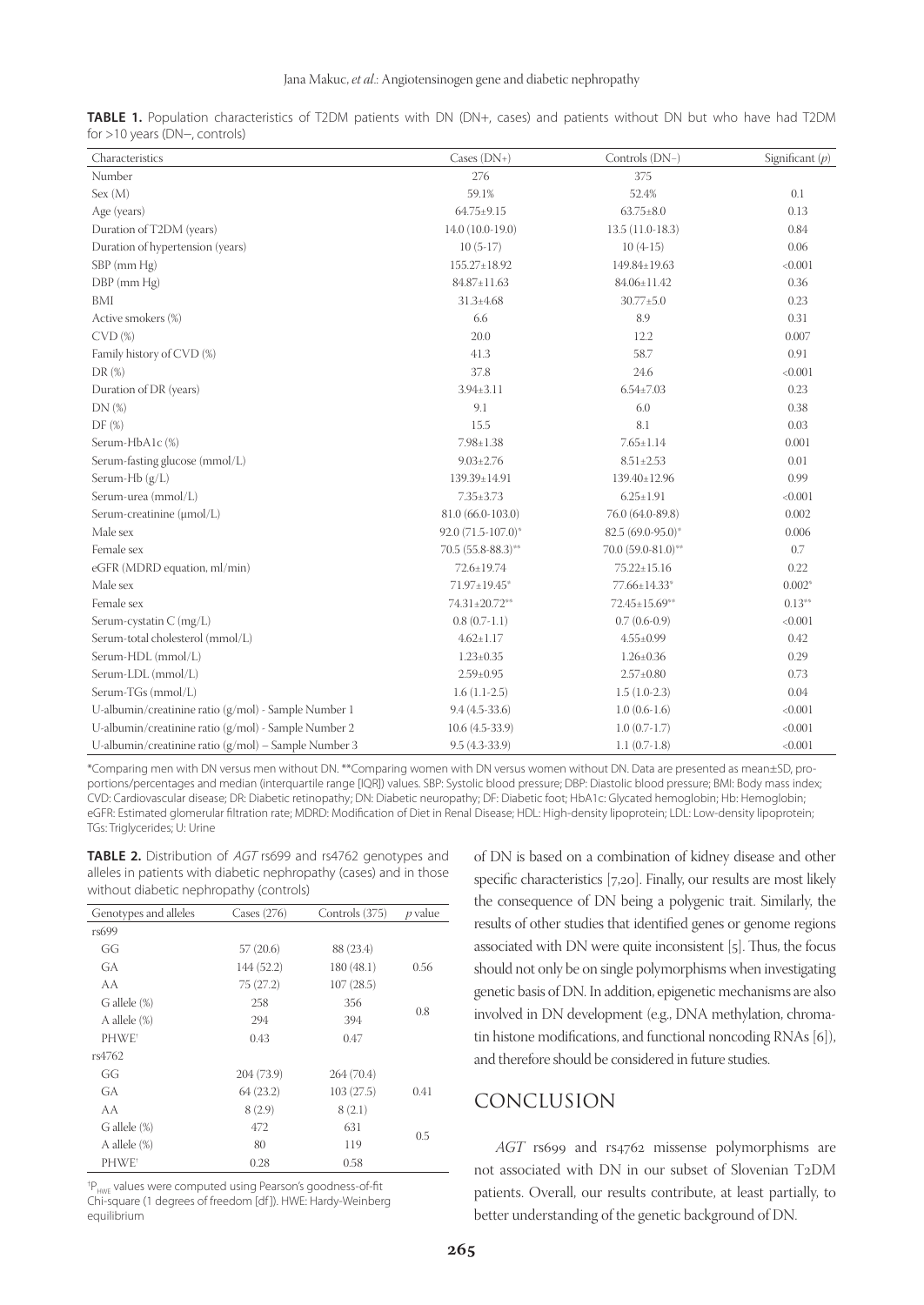| Characteristics                                        | $\text{Cases (DN+)}$                      | Controls (DN-)     | Significant $(p)$ |  |
|--------------------------------------------------------|-------------------------------------------|--------------------|-------------------|--|
| Number                                                 | 276                                       | 375                |                   |  |
| Sex (M)                                                | 59.1%                                     | 52.4%              | 0.1               |  |
| Age (years)                                            | $64.75 \pm 9.15$                          | $63.75 \pm 8.0$    | 0.13              |  |
| Duration of T2DM (years)                               | 14.0 (10.0-19.0)                          | $13.5(11.0-18.3)$  | 0.84              |  |
| Duration of hypertension (years)                       | $10(5-17)$                                | $10(4-15)$         | 0.06              |  |
| SBP (mm Hg)                                            | $155.27 \pm 18.92$                        | 149.84±19.63       | < 0.001           |  |
| DBP (mm Hg)                                            | 84.87±11.63                               | 84.06±11.42        | 0.36              |  |
| BMI                                                    | $31.3 \pm 4.68$                           | $30.77 \pm 5.0$    | 0.23              |  |
| Active smokers (%)                                     | 6.6                                       | 8.9                | 0.31              |  |
| $CVD$ $%$                                              | 20.0                                      | 12.2               | 0.007             |  |
| Family history of CVD (%)                              | 41.3                                      | 58.7               | 0.91              |  |
| DR(%)                                                  | 37.8                                      | 24.6               | < 0.001           |  |
| Duration of DR (years)                                 | $3.94 \pm 3.11$                           | $6.54 \pm 7.03$    | 0.23              |  |
| DN(%)                                                  | 9.1                                       | 6.0                | 0.38              |  |
| DF(%)                                                  | 15.5                                      | 8.1                | 0.03              |  |
| Serum-HbA1c (%)                                        | $7.98 \pm 1.38$                           | $7.65 \pm 1.14$    | 0.001             |  |
| Serum-fasting glucose (mmol/L)                         | $9.03 \pm 2.76$                           | $8.51 \pm 2.53$    | 0.01              |  |
| Serum-Hb (g/L)                                         | 139.39±14.91                              | 139.40±12.96       |                   |  |
| Serum-urea (mmol/L)                                    | $7.35 \pm 3.73$                           | $6.25 \pm 1.91$    | < 0.001           |  |
| Serum-creatinine (µmol/L)                              | 81.0 (66.0-103.0)                         | 76.0 (64.0-89.8)   | 0.002             |  |
| Male sex                                               | 92.0 (71.5-107.0)*<br>$82.5(69.0-95.0)$ * |                    | 0.006             |  |
| Female sex                                             | $70.5(55.8-88.3)$ **                      | 70.0 (59.0-81.0)** | 0.7               |  |
| eGFR (MDRD equation, ml/min)                           | 72.6±19.74                                | $75.22 \pm 15.16$  | 0.22              |  |
| Male sex                                               | 71.97±19.45*                              | 77.66±14.33*       | $0.002*$          |  |
| Female sex                                             | 74.31±20.72**                             | 72.45±15.69**      | $0.13**$          |  |
| Serum-cystatin C (mg/L)                                | $0.8(0.7-1.1)$                            | $0.7(0.6-0.9)$     | < 0.001           |  |
| Serum-total cholesterol (mmol/L)                       | $4.62 \pm 1.17$                           | $4.55 \pm 0.99$    | 0.42              |  |
| Serum-HDL (mmol/L)                                     | $1.23 \pm 0.35$                           | $1.26 \pm 0.36$    | 0.29              |  |
| Serum-LDL (mmol/L)                                     | $2.59 \pm 0.95$                           | $2.57 \pm 0.80$    | 0.73              |  |
| Serum-TGs (mmol/L)                                     | $1.6(1.1-2.5)$                            | $1.5(1.0-2.3)$     | 0.04              |  |
| U-albumin/creatinine ratio (g/mol) - Sample Number 1   | $9.4(4.5-33.6)$                           | $1.0(0.6-1.6)$     | < 0.001           |  |
| U-albumin/creatinine ratio (g/mol) - Sample Number 2   | $10.6(4.5-33.9)$                          | $1.0(0.7-1.7)$     | < 0.001           |  |
| U-albumin/creatinine ratio $(g/mol)$ – Sample Number 3 | $9.5(4.3-33.9)$                           | $1.1(0.7-1.8)$     | < 0.001           |  |

**TABLE 1.** Population characteristics of T2DM patients with DN (DN+, cases) and patients without DN but who have had T2DM for >10 years (DN−, controls)

\*Comparing men with DN versus men without DN. \*\*Comparing women with DN versus women without DN. Data are presented as mean±SD, proportions/percentages and median (interquartile range [IQR]) values. SBP: Systolic blood pressure; DBP: Diastolic blood pressure; BMI: Body mass index; CVD: Cardiovascular disease; DR: Diabetic retinopathy; DN: Diabetic neuropathy; DF: Diabetic foot; HbA1c: Glycated hemoglobin; Hb: Hemoglobin; eGFR: Estimated glomerular filtration rate; MDRD: Modification of Diet in Renal Disease; HDL: High-density lipoprotein; LDL: Low-density lipoprotein; TGs: Triglycerides; U: Urine

**TABLE 2.** Distribution of AGT rs699 and rs4762 genotypes and alleles in patients with diabetic nephropathy (cases) and in those without diabetic nephropathy (controls)

| Genotypes and alleles | Cases $(276)$ | Controls (375) | $p$ value |  |
|-----------------------|---------------|----------------|-----------|--|
| rs699                 |               |                |           |  |
| GG                    | 57(20.6)      | 88 (23.4)      |           |  |
| GA                    | 144 (52.2)    | 180(48.1)      | 0.56      |  |
| AA                    | 75(27.2)      | 107(28.5)      |           |  |
| G allele (%)          | 258           | 356            |           |  |
| A allele (%)          | 294           | 394            | 0.8       |  |
| PHWE <sup>+</sup>     | 0.43          | 0.47           |           |  |
| rs4762                |               |                |           |  |
| GG                    | 204 (73.9)    | 264 (70.4)     |           |  |
| GA                    | 64(23.2)      | 103(27.5)      | 0.41      |  |
| AA                    | 8(2.9)        | 8(2.1)         |           |  |
| G allele (%)          | 472           | 631            |           |  |
| A allele (%)          | 80            | 119            | 0.5       |  |
| PHWE <sup>+</sup>     | 0.28          | 0.58           |           |  |

<sup>† P</sup><sub>HWE</sub> values were computed using Pearson's goodness-of-fit Chi-square (1 degrees of freedom [df ]). HWE: Hardy-Weinberg equilibrium

of DN is based on a combination of kidney disease and other specific characteristics [7,20]. Finally, our results are most likely the consequence of DN being a polygenic trait. Similarly, the results of other studies that identified genes or genome regions associated with DN were quite inconsistent [5]. Thus, the focus should not only be on single polymorphisms when investigating genetic basis of DN. In addition, epigenetic mechanisms are also involved in DN development (e.g., DNA methylation, chromatin histone modifications, and functional noncoding RNAs [6]), and therefore should be considered in future studies.

## CONCLUSION

*AGT* rs699 and rs4762 missense polymorphisms are not associated with DN in our subset of Slovenian T2DM patients. Overall, our results contribute, at least partially, to better understanding of the genetic background of DN.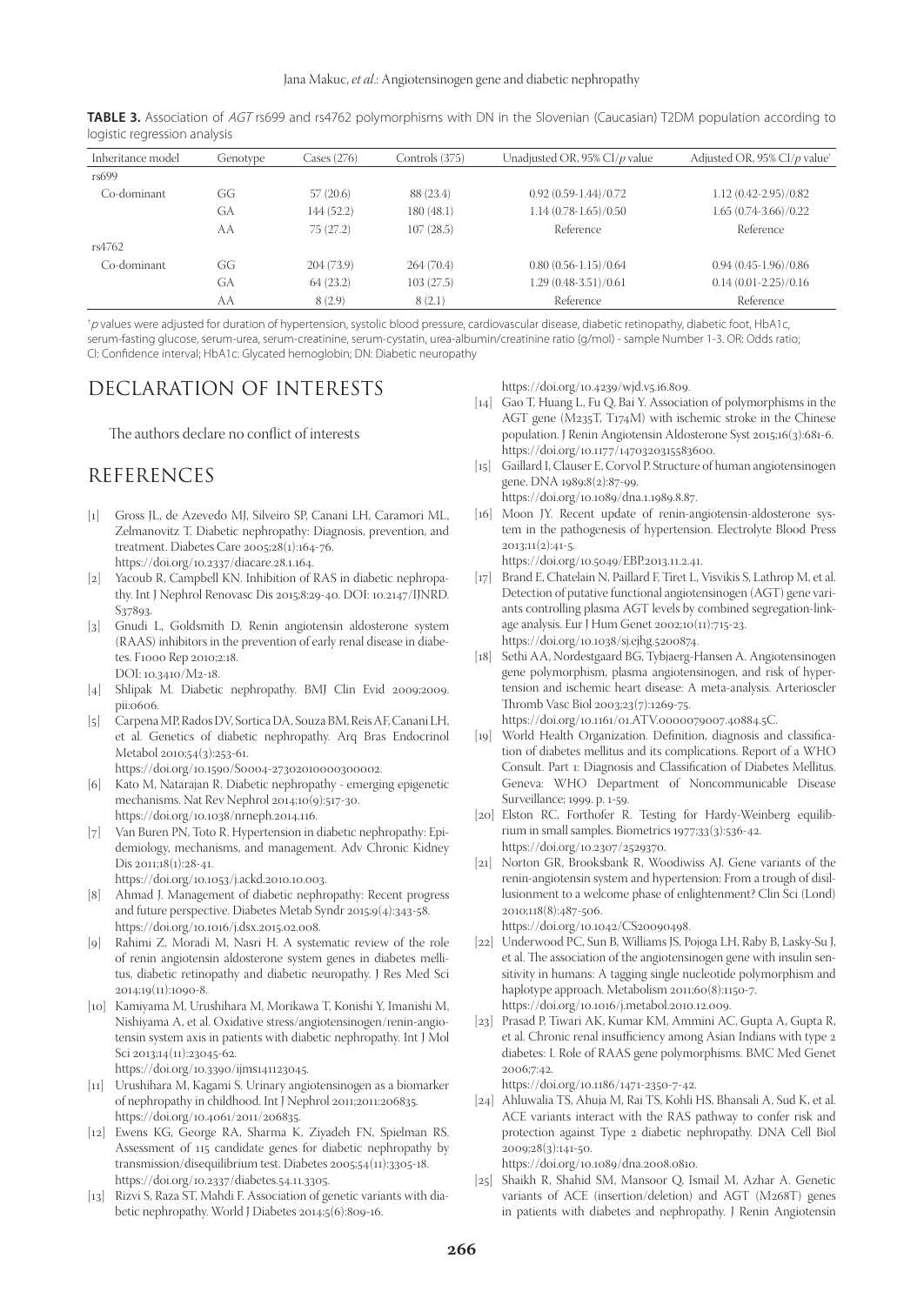| Inheritance model | Genotype | Cases (276) | Controls (375) | Unadjusted OR, 95% CI/p value | Adjusted OR, 95% CI/p value <sup>+</sup> |
|-------------------|----------|-------------|----------------|-------------------------------|------------------------------------------|
| rs699             |          |             |                |                               |                                          |
| Co-dominant       | GG       | 57(20.6)    | 88 (23.4)      | $0.92(0.59-1.44)/0.72$        | $1.12(0.42 - 2.95)/0.82$                 |
|                   | GA       | 144(52.2)   | 180 (48.1)     | $1.14(0.78-1.65)/0.50$        | 1.65 (0.74-3.66)/0.22                    |
|                   | AA       | 75(27.2)    | 107(28.5)      | Reference                     | Reference                                |
| rs4762            |          |             |                |                               |                                          |
| Co-dominant       | GG       | 204(73.9)   | 264(70.4)      | $0.80(0.56-1.15)/0.64$        | $0.94(0.45-1.96)/0.86$                   |
|                   | GA       | 64(23.2)    | 103(27.5)      | $1.29(0.48-3.51)/0.61$        | $0.14(0.01 - 2.25)/0.16$                 |
|                   | AA       | 8(2.9)      | 8(2.1)         | Reference                     | Reference                                |
|                   |          |             |                |                               |                                          |

**TABLE 3.** Association of AGT rs699 and rs4762 polymorphisms with DN in the Slovenian (Caucasian) T2DM population according to logistic regression analysis

† <sup>p</sup> values were adjusted for duration of hypertension, systolic blood pressure, cardiovascular disease, diabetic retinopathy, diabetic foot, HbA1c, serum-fasting glucose, serum-urea, serum-creatinine, serum-cystatin, urea-albumin/creatinine ratio (g/mol) - sample Number 1-3. OR: Odds ratio; CI: Confidence interval; HbA1c: Glycated hemoglobin; DN: Diabetic neuropathy

## DECLARATION OF INTERESTS

The authors declare no conflict of interests

## REFERENCES

- [1] Gross JL, de Azevedo MJ, Silveiro SP, Canani LH, Caramori ML, Zelmanovitz T. Diabetic nephropathy: Diagnosis, prevention, and treatment. Diabetes Care 2005;28(1):164-76. https://doi.org/10.2337/diacare.28.1.164.
- [2] Yacoub R, Campbell KN. Inhibition of RAS in diabetic nephropathy. Int J Nephrol Renovasc Dis 2015;8:29-40. DOI: 10.2147/IJNRD. S37893.
- [3] Gnudi L, Goldsmith D. Renin angiotensin aldosterone system (RAAS) inhibitors in the prevention of early renal disease in diabetes. F1000 Rep 2010;2:18. DOI: 10.3410/M2-18.
- [4] Shlipak M. Diabetic nephropathy. BMJ Clin Evid 2009;2009. pii:0606.
- [5] Carpena MP, Rados DV, Sortica DA, Souza BM, Reis AF, Canani LH, et al. Genetics of diabetic nephropathy. Arq Bras Endocrinol Metabol 2010;54(3):253-61.
	- https://doi.org/10.1590/S0004-27302010000300002.
- [6] Kato M, Natarajan R. Diabetic nephropathy emerging epigenetic mechanisms. Nat Rev Nephrol 2014;10(9):517-30. https://doi.org/10.1038/nrneph.2014.116.
- [7] Van Buren PN, Toto R. Hypertension in diabetic nephropathy: Epidemiology, mechanisms, and management. Adv Chronic Kidney Dis 2011;18(1):28-41.

https://doi.org/10.1053/j.ackd.2010.10.003.

- [8] Ahmad J. Management of diabetic nephropathy: Recent progress and future perspective. Diabetes Metab Syndr 2015;9(4):343-58. https://doi.org/10.1016/j.dsx.2015.02.008.
- [9] Rahimi Z, Moradi M, Nasri H. A systematic review of the role of renin angiotensin aldosterone system genes in diabetes mellitus, diabetic retinopathy and diabetic neuropathy. J Res Med Sci 2014;19(11):1090-8.
- [10] Kamiyama M, Urushihara M, Morikawa T, Konishi Y, Imanishi M, Nishiyama A, et al. Oxidative stress/angiotensinogen/renin-angiotensin system axis in patients with diabetic nephropathy. Int J Mol Sci 2013;14(11):23045-62.

https://doi.org/10.3390/ijms141123045.

- [11] Urushihara M, Kagami S. Urinary angiotensinogen as a biomarker of nephropathy in childhood. Int J Nephrol 2011;2011:206835. https://doi.org/10.4061/2011/206835.
- [12] Ewens KG, George RA, Sharma K, Ziyadeh FN, Spielman RS. Assessment of 115 candidate genes for diabetic nephropathy by transmission/disequilibrium test. Diabetes 2005;54(11):3305-18. https://doi.org/10.2337/diabetes.54.11.3305.
- [13] Rizvi S, Raza ST, Mahdi F. Association of genetic variants with diabetic nephropathy. World J Diabetes 2014;5(6):809-16.

https://doi.org/10.4239/wjd.v5.i6.809.

- [14] Gao T, Huang L, Fu Q, Bai Y. Association of polymorphisms in the AGT gene (M235T, T174M) with ischemic stroke in the Chinese population. J Renin Angiotensin Aldosterone Syst 2015;16(3):681-6. https://doi.org/10.1177/1470320315583600.
- [15] Gaillard I, Clauser E, Corvol P. Structure of human angiotensinogen gene. DNA 1989;8(2):87-99.
- https://doi.org/10.1089/dna.1.1989.8.87. [16] Moon JY. Recent update of renin-angiotensin-aldosterone sys-
- tem in the pathogenesis of hypertension. Electrolyte Blood Press 2013;11(2):41-5.

https://doi.org/10.5049/EBP.2013.11.2.41.

- [17] Brand E, Chatelain N, Paillard F, Tiret L, Visvikis S, Lathrop M, et al. Detection of putative functional angiotensinogen (AGT) gene variants controlling plasma AGT levels by combined segregation-linkage analysis. Eur J Hum Genet 2002;10(11):715-23. https://doi.org/10.1038/sj.ejhg.5200874.
- [18] Sethi AA, Nordestgaard BG, Tybjaerg-Hansen A. Angiotensinogen gene polymorphism, plasma angiotensinogen, and risk of hypertension and ischemic heart disease: A meta-analysis. Arterioscler Thromb Vasc Biol 2003;23(7):1269-75.

https://doi.org/10.1161/01.ATV.0000079007.40884.5C.

- [19] World Health Organization. Definition, diagnosis and classification of diabetes mellitus and its complications. Report of a WHO Consult. Part 1: Diagnosis and Classification of Diabetes Mellitus. Geneva: WHO Department of Noncommunicable Disease Surveillance; 1999. p. 1-59.
- [20] Elston RC, Forthofer R. Testing for Hardy-Weinberg equilibrium in small samples. Biometrics 1977;33(3):536-42. https://doi.org/10.2307/2529370.
- [21] Norton GR, Brooksbank R, Woodiwiss AJ. Gene variants of the renin-angiotensin system and hypertension: From a trough of disillusionment to a welcome phase of enlightenment? Clin Sci (Lond) 2010;118(8):487-506. https://doi.org/10.1042/CS20090498.
- [22] Underwood PC, Sun B, Williams JS, Pojoga LH, Raby B, Lasky-Su J, et al. The association of the angiotensinogen gene with insulin sensitivity in humans: A tagging single nucleotide polymorphism and haplotype approach. Metabolism 2011;60(8):1150-7. https://doi.org/10.1016/j.metabol.2010.12.009.
- [23] Prasad P, Tiwari AK, Kumar KM, Ammini AC, Gupta A, Gupta R, et al. Chronic renal insufficiency among Asian Indians with type 2 diabetes: I. Role of RAAS gene polymorphisms. BMC Med Genet 2006;7:42.

https://doi.org/10.1186/1471-2350-7-42.

[24] Ahluwalia TS, Ahuja M, Rai TS, Kohli HS, Bhansali A, Sud K, et al. ACE variants interact with the RAS pathway to confer risk and protection against Type 2 diabetic nephropathy. DNA Cell Biol 2009;28(3):141-50.

https://doi.org/10.1089/dna.2008.0810.

[25] Shaikh R, Shahid SM, Mansoor Q, Ismail M, Azhar A. Genetic variants of ACE (insertion/deletion) and AGT (M268T) genes in patients with diabetes and nephropathy. J Renin Angiotensin